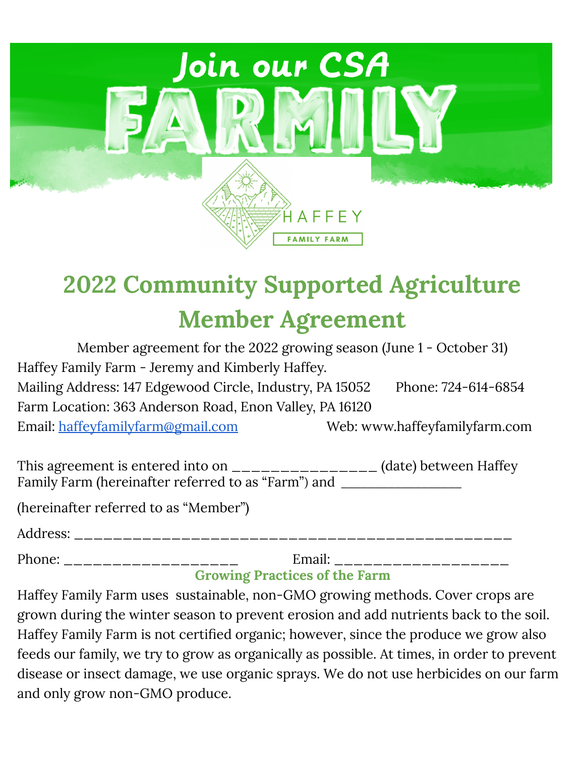

# **2022 Community Supported Agriculture Member Agreement**

| Member agreement for the 2022 growing season (June 1 - October 31) |                               |
|--------------------------------------------------------------------|-------------------------------|
| Haffey Family Farm - Jeremy and Kimberly Haffey.                   |                               |
| Mailing Address: 147 Edgewood Circle, Industry, PA 15052           | Phone: 724-614-6854           |
| Farm Location: 363 Anderson Road, Enon Valley, PA 16120            |                               |
| Email: <u>haffeyfamilyfarm@gmail.com</u>                           | Web: www.haffeyfamilyfarm.com |
|                                                                    |                               |

| This agreement is entered into on $\frac{1}{1}$     | (date) between Haffey |
|-----------------------------------------------------|-----------------------|
| Family Farm (hereinafter referred to as "Farm") and |                       |

(hereinafter referred to as "Member")

Address:

Phone: \_\_\_\_\_\_\_\_\_\_\_\_\_\_\_\_\_\_\_\_\_\_ Email: \_\_\_\_\_\_\_\_\_\_\_\_\_\_\_\_\_\_\_

## **Growing Practices of the Farm**

Haffey Family Farm uses sustainable, non-GMO growing methods. Cover crops are grown during the winter season to prevent erosion and add nutrients back to the soil. Haffey Family Farm is not certified organic; however, since the produce we grow also feeds our family, we try to grow as organically as possible. At times, in order to prevent disease or insect damage, we use organic sprays. We do not use herbicides on our farm and only grow non-GMO produce.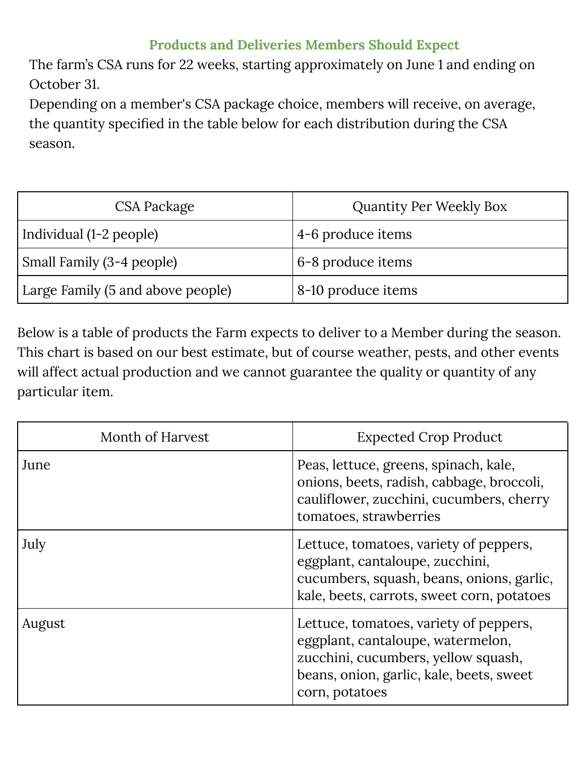## **Products and Deliveries Members Should Expect**

The farm's CSA runs for 22 weeks, starting approximately on June 1 and ending on October 31.

Depending on a member's CSA package choice, members will receive, on average, the quantity specified in the table below for each distribution during the CSA season.

| CSA Package                       | <b>Quantity Per Weekly Box</b> |
|-----------------------------------|--------------------------------|
| Individual (1-2 people)           | 4-6 produce items              |
| Small Family (3-4 people)         | 6-8 produce items              |
| Large Family (5 and above people) | 8-10 produce items             |

Below is a table of products the Farm expects to deliver to a Member during the season. This chart is based on our best estimate, but of course weather, pests, and other events will affect actual production and we cannot guarantee the quality or quantity of any particular item.

| Month of Harvest | <b>Expected Crop Product</b>                                                                                                                                                     |
|------------------|----------------------------------------------------------------------------------------------------------------------------------------------------------------------------------|
| June             | Peas, lettuce, greens, spinach, kale,<br>onions, beets, radish, cabbage, broccoli,<br>cauliflower, zucchini, cucumbers, cherry<br>tomatoes, strawberries                         |
| July             | Lettuce, tomatoes, variety of peppers,<br>eggplant, cantaloupe, zucchini,<br>cucumbers, squash, beans, onions, garlic,<br>kale, beets, carrots, sweet corn, potatoes             |
| August           | Lettuce, tomatoes, variety of peppers,<br>eggplant, cantaloupe, watermelon,<br>zucchini, cucumbers, yellow squash,<br>beans, onion, garlic, kale, beets, sweet<br>corn, potatoes |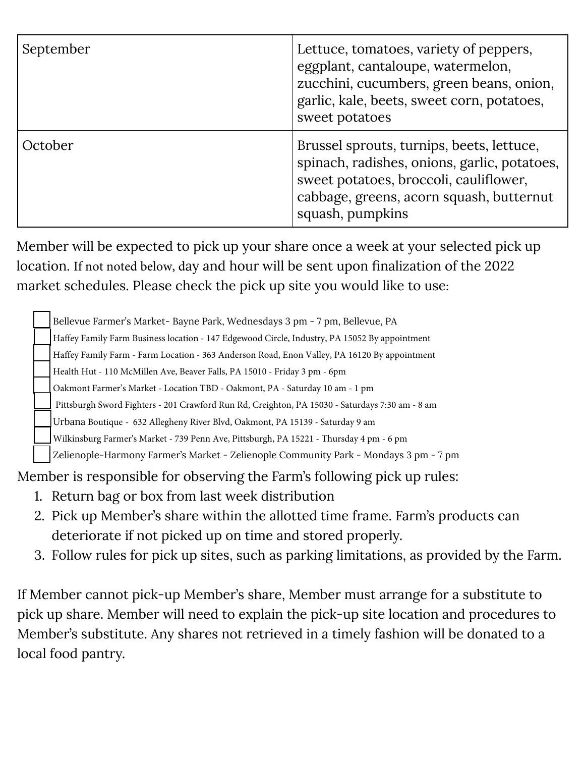| September | Lettuce, tomatoes, variety of peppers,<br>eggplant, cantaloupe, watermelon,<br>zucchini, cucumbers, green beans, onion,<br>garlic, kale, beets, sweet corn, potatoes,<br>sweet potatoes             |
|-----------|-----------------------------------------------------------------------------------------------------------------------------------------------------------------------------------------------------|
| October   | Brussel sprouts, turnips, beets, lettuce,<br>spinach, radishes, onions, garlic, potatoes,<br>sweet potatoes, broccoli, cauliflower,<br>cabbage, greens, acorn squash, butternut<br>squash, pumpkins |

Member will be expected to pick up your share once a week at your selected pick up location. If not noted below, day and hour will be sent upon finalization of the 2022 market schedules. Please check the pick up site you would like to use:

Bellevue Farmer's Market- Bayne Park, Wednesdays 3 pm - 7 pm, Bellevue, PA

Haffey Family Farm Business location - 147 Edgewood Circle, Industry, PA 15052 By appointment

Haffey Family Farm - Farm Location - 363 Anderson Road, Enon Valley, PA 16120 By appointment

Health Hut - 110 McMillen Ave, Beaver Falls, PA 15010 - Friday 3 pm - 6pm

Oakmont Farmer's Market - Location TBD - Oakmont, PA - Saturday 10 am - 1 pm

Pittsburgh Sword Fighters - 201 Crawford Run Rd, Creighton, PA 15030 - Saturdays 7:30 am - 8 am

Urbana Boutique - 632 Allegheny River Blvd, Oakmont, PA 15139 - Saturday 9 am

Wilkinsburg Farmer's Market - 739 Penn Ave, Pittsburgh, PA 15221 - Thursday 4 pm - 6 pm

Zelienople-Harmony Farmer's Market - Zelienople Community Park - Mondays 3 pm - 7 pm

Member is responsible for observing the Farm's following pick up rules:

- 1. Return bag or box from last week distribution
- 2. Pick up Member's share within the allotted time frame. Farm's products can deteriorate if not picked up on time and stored properly.
- 3. Follow rules for pick up sites, such as parking limitations, as provided by the Farm.

If Member cannot pick-up Member's share, Member must arrange for a substitute to pick up share. Member will need to explain the pick-up site location and procedures to Member's substitute. Any shares not retrieved in a timely fashion will be donated to a local food pantry.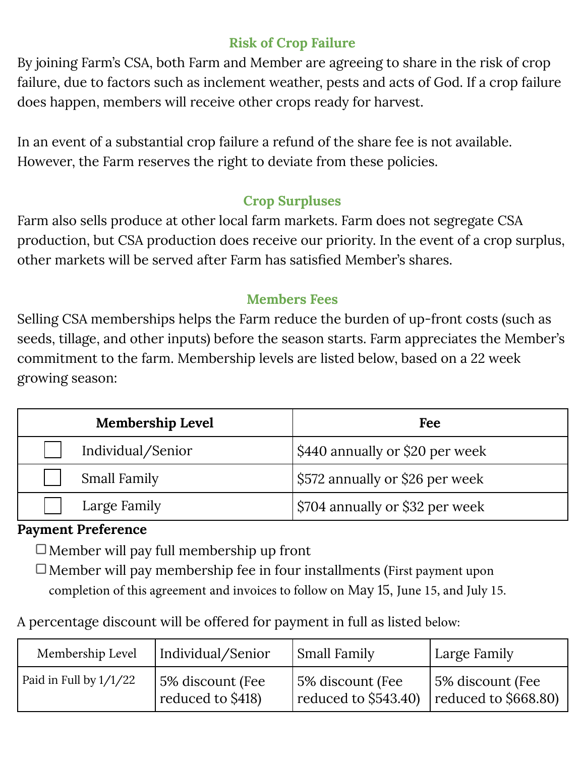## **Risk of Crop Failure**

By joining Farm's CSA, both Farm and Member are agreeing to share in the risk of crop failure, due to factors such as inclement weather, pests and acts of God. If a crop failure does happen, members will receive other crops ready for harvest.

In an event of a substantial crop failure a refund of the share fee is not available. However, the Farm reserves the right to deviate from these policies.

## **Crop Surpluses**

Farm also sells produce at other local farm markets. Farm does not segregate CSA production, but CSA production does receive our priority. In the event of a crop surplus, other markets will be served after Farm has satisfied Member's shares.

#### **Members Fees**

Selling CSA memberships helps the Farm reduce the burden of up-front costs (such as seeds, tillage, and other inputs) before the season starts. Farm appreciates the Member's commitment to the farm. Membership levels are listed below, based on a 22 week growing season:

| <b>Membership Level</b> | Fee                             |
|-------------------------|---------------------------------|
| Individual/Senior       | \$440 annually or \$20 per week |
| <b>Small Family</b>     | \$572 annually or \$26 per week |
| Large Family            | \$704 annually or \$32 per week |

#### **Payment Preference**

 $\Box$  Member will pay full membership up front

 $\Box$  Member will pay membership fee in four installments (First payment upon completion of this agreement and invoices to follow on May 15, June 15, and July 15.

A percentage discount will be offered for payment in full as listed below:

| Membership Level         | Individual/Senior | Small Family           | Large Family         |
|--------------------------|-------------------|------------------------|----------------------|
| Paid in Full by $1/1/22$ | 5% discount (Fee  | 5% discount (Fee       | 5% discount (Fee     |
|                          | reduced to \$418) | reduced to $$543.40$ ) | reduced to \$668.80) |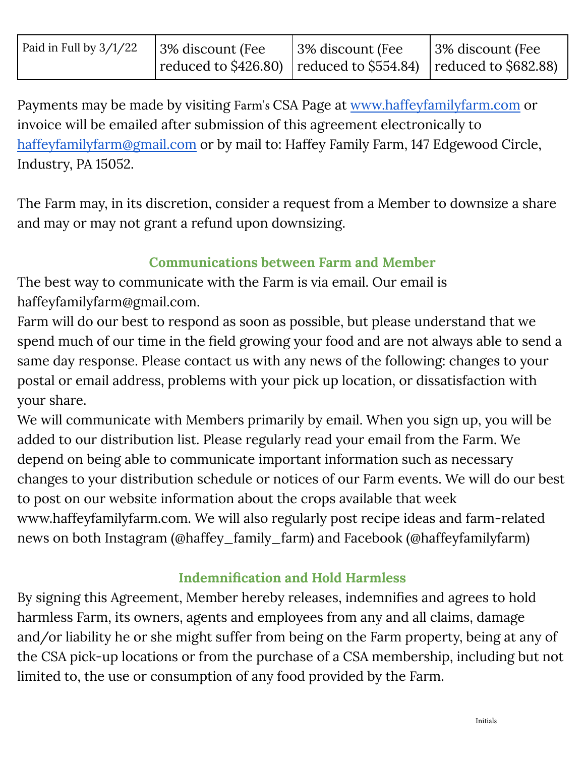| Paid in Full by 3/1/22 | 3% discount (Fee                                                                       | 3% discount (Fee | 3% discount (Fee |
|------------------------|----------------------------------------------------------------------------------------|------------------|------------------|
|                        | $\vert$ reduced to \$426.80) $\vert$ reduced to \$554.84) $\vert$ reduced to \$682.88) |                  |                  |

Payments may be made by visiting Farm's CSA Page at [www.haffeyfamilyfarm.com](http://www.haffeyfamilyfarm.com) or invoice will be emailed after submission of this agreement electronically to [haffeyfamilyfarm@gmail.com](mailto:haffeyfamilyfarm@gmail.com) or by mail to: Haffey Family Farm, 147 Edgewood Circle, Industry, PA 15052.

The Farm may, in its discretion, consider a request from a Member to downsize a share and may or may not grant a refund upon downsizing.

## **Communications between Farm and Member**

The best way to communicate with the Farm is via email. Our email is haffeyfamilyfarm@gmail.com.

Farm will do our best to respond as soon as possible, but please understand that we spend much of our time in the field growing your food and are not always able to send a same day response. Please contact us with any news of the following: changes to your postal or email address, problems with your pick up location, or dissatisfaction with your share.

We will communicate with Members primarily by email. When you sign up, you will be added to our distribution list. Please regularly read your email from the Farm. We depend on being able to communicate important information such as necessary changes to your distribution schedule or notices of our Farm events. We will do our best to post on our website information about the crops available that week www.haffeyfamilyfarm.com. We will also regularly post recipe ideas and farm-related news on both Instagram (@haffey\_family\_farm) and Facebook (@haffeyfamilyfarm)

## **Indemnification and Hold Harmless**

By signing this Agreement, Member hereby releases, indemnifies and agrees to hold harmless Farm, its owners, agents and employees from any and all claims, damage and/or liability he or she might suffer from being on the Farm property, being at any of the CSA pick-up locations or from the purchase of a CSA membership, including but not limited to, the use or consumption of any food provided by the Farm.